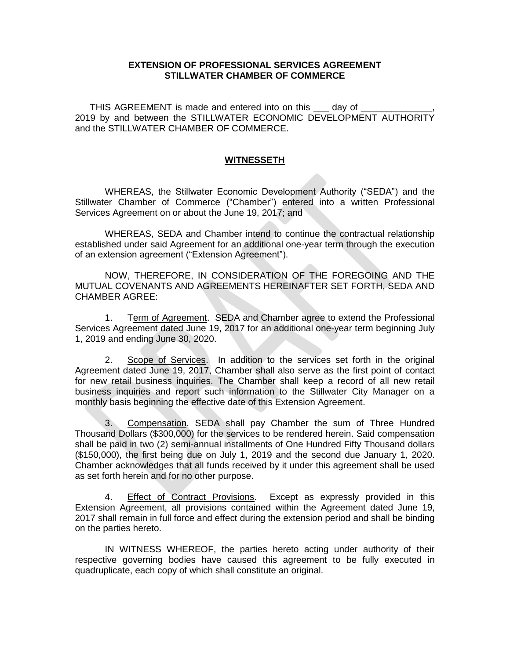## **EXTENSION OF PROFESSIONAL SERVICES AGREEMENT STILLWATER CHAMBER OF COMMERCE**

THIS AGREEMENT is made and entered into on this \_\_\_ day of 2019 by and between the STILLWATER ECONOMIC DEVELOPMENT AUTHORITY and the STILLWATER CHAMBER OF COMMERCE.

## **WITNESSETH**

WHEREAS, the Stillwater Economic Development Authority ("SEDA") and the Stillwater Chamber of Commerce ("Chamber") entered into a written Professional Services Agreement on or about the June 19, 2017; and

WHEREAS, SEDA and Chamber intend to continue the contractual relationship established under said Agreement for an additional one-year term through the execution of an extension agreement ("Extension Agreement").

NOW, THEREFORE, IN CONSIDERATION OF THE FOREGOING AND THE MUTUAL COVENANTS AND AGREEMENTS HEREINAFTER SET FORTH, SEDA AND CHAMBER AGREE:

1. Term of Agreement. SEDA and Chamber agree to extend the Professional Services Agreement dated June 19, 2017 for an additional one-year term beginning July 1, 2019 and ending June 30, 2020.

2. Scope of Services. In addition to the services set forth in the original Agreement dated June 19, 2017, Chamber shall also serve as the first point of contact for new retail business inquiries. The Chamber shall keep a record of all new retail business inquiries and report such information to the Stillwater City Manager on a monthly basis beginning the effective date of this Extension Agreement.

3. Compensation. SEDA shall pay Chamber the sum of Three Hundred Thousand Dollars (\$300,000) for the services to be rendered herein. Said compensation shall be paid in two (2) semi-annual installments of One Hundred Fifty Thousand dollars (\$150,000), the first being due on July 1, 2019 and the second due January 1, 2020. Chamber acknowledges that all funds received by it under this agreement shall be used as set forth herein and for no other purpose.

4. Effect of Contract Provisions. Except as expressly provided in this Extension Agreement, all provisions contained within the Agreement dated June 19, 2017 shall remain in full force and effect during the extension period and shall be binding on the parties hereto.

IN WITNESS WHEREOF, the parties hereto acting under authority of their respective governing bodies have caused this agreement to be fully executed in quadruplicate, each copy of which shall constitute an original.